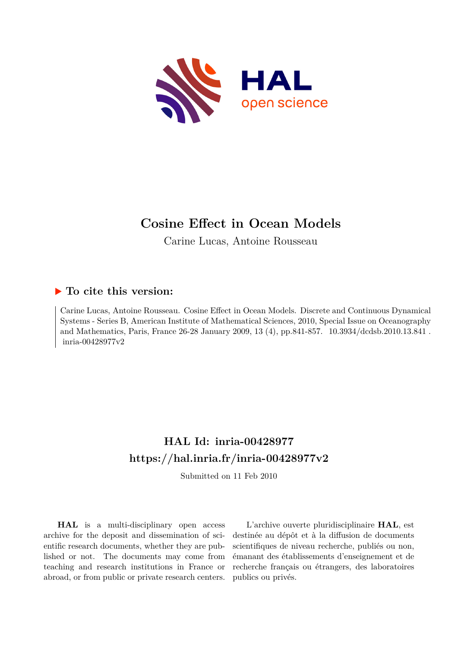

# **Cosine Effect in Ocean Models**

Carine Lucas, Antoine Rousseau

# **To cite this version:**

Carine Lucas, Antoine Rousseau. Cosine Effect in Ocean Models. Discrete and Continuous Dynamical Systems - Series B, American Institute of Mathematical Sciences, 2010, Special Issue on Oceanography and Mathematics, Paris, France 26-28 January 2009, 13 (4), pp.841-857. 10.3934/dcdsb.2010.13.841.  $inria-00428977v2$ 

# **HAL Id: inria-00428977 <https://hal.inria.fr/inria-00428977v2>**

Submitted on 11 Feb 2010

**HAL** is a multi-disciplinary open access archive for the deposit and dissemination of scientific research documents, whether they are published or not. The documents may come from teaching and research institutions in France or abroad, or from public or private research centers.

L'archive ouverte pluridisciplinaire **HAL**, est destinée au dépôt et à la diffusion de documents scientifiques de niveau recherche, publiés ou non, émanant des établissements d'enseignement et de recherche français ou étrangers, des laboratoires publics ou privés.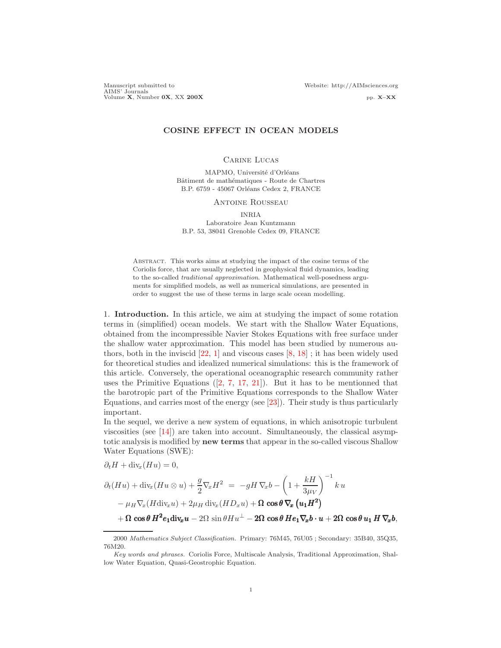Manuscript submitted to Website: http://AIMsciences.org AIMS' Journals<br>Volume X, Number 0X, XX 200X pp. X–XX pp. X–XX

## COSINE EFFECT IN OCEAN MODELS

#### Carine Lucas

MAPMO, Université d'Orléans Bâtiment de mathématiques - Route de Chartres B.P. 6759 - 45067 Orléans Cedex 2, FRANCE

### Antoine Rousseau

INRIA Laboratoire Jean Kuntzmann B.P. 53, 38041 Grenoble Cedex 09, FRANCE

Abstract. This works aims at studying the impact of the cosine terms of the Coriolis force, that are usually neglected in geophysical fluid dynamics, leading to the so-called *traditional approximation*. Mathematical well-posedness arguments for simplified models, as well as numerical simulations, are presented in order to suggest the use of these terms in large scale ocean modelling.

1. Introduction. In this article, we aim at studying the impact of some rotation terms in (simplified) ocean models. We start with the Shallow Water Equations, obtained from the incompressible Navier Stokes Equations with free surface under the shallow water approximation. This model has been studied by numerous authors, both in the inviscid [\[22,](#page-17-0) [1\]](#page-16-0) and viscous cases [\[8,](#page-16-1) [18\]](#page-16-2) ; it has been widely used for theoretical studies and idealized numerical simulations: this is the framework of this article. Conversely, the operational oceanographic research community rather uses the Primitive Equations  $(2, 7, 17, 21)$  $(2, 7, 17, 21)$  $(2, 7, 17, 21)$  $(2, 7, 17, 21)$  $(2, 7, 17, 21)$ . But it has to be mentionned that the barotropic part of the Primitive Equations corresponds to the Shallow Water Equations, and carries most of the energy (see [\[23\]](#page-17-1)). Their study is thus particularly important.

In the sequel, we derive a new system of equations, in which anisotropic turbulent viscosities (see [\[14\]](#page-16-7)) are taken into account. Simultaneously, the classical asymptotic analysis is modified by new terms that appear in the so-called viscous Shallow Water Equations (SWE):

$$
\partial_t H + \text{div}_x(Hu) = 0,
$$
  
\n
$$
\partial_t (Hu) + \text{div}_x(Hu \otimes u) + \frac{g}{2} \nabla_x H^2 = -gH \nabla_x b - \left(1 + \frac{kH}{3\mu_V}\right)^{-1} ku
$$
  
\n
$$
-\mu_H \nabla_x (H \text{div}_x u) + 2\mu_H \text{div}_x (HD_x u) + \Omega \cos \theta \nabla_x \left(u_1 H^2\right)
$$
  
\n
$$
+ \Omega \cos \theta H^2 e_1 \text{div}_x u - 2\Omega \sin \theta Hu^\perp - 2\Omega \cos \theta He_1 \nabla_x b \cdot u + 2\Omega \cos \theta u_1 H \nabla_x b,
$$

<sup>2000</sup> *Mathematics Subject Classification.* Primary: 76M45, 76U05 ; Secondary: 35B40, 35Q35, 76M20.

*Key words and phrases.* Coriolis Force, Multiscale Analysis, Traditional Approximation, Shallow Water Equation, Quasi-Geostrophic Equation.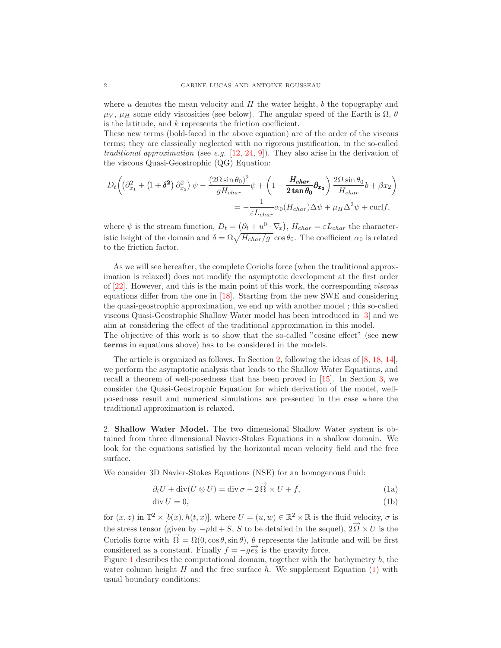where u denotes the mean velocity and  $H$  the water height, b the topography and  $\mu_V$ ,  $\mu_H$  some eddy viscosities (see below). The angular speed of the Earth is  $\Omega$ ,  $\theta$ is the latitude, and  $k$  represents the friction coefficient.

These new terms (bold-faced in the above equation) are of the order of the viscous terms; they are classically neglected with no rigorous justification, in the so-called traditional approximation (see e.g.  $[12, 24, 9]$  $[12, 24, 9]$  $[12, 24, 9]$  $[12, 24, 9]$  $[12, 24, 9]$ ). They also arise in the derivation of the viscous Quasi-Geostrophic (QG) Equation:

$$
D_t \left( \left( \partial_{x_1}^2 + \left( 1 + \delta^2 \right) \partial_{x_2}^2 \right) \psi - \frac{(2\Omega \sin \theta_0)^2}{g H_{char}} \psi + \left( 1 - \frac{H_{char}}{2 \tan \theta_0} \partial_{x_2} \right) \frac{2\Omega \sin \theta_0}{H_{char}} b + \beta x_2 \right)
$$
  
= 
$$
-\frac{1}{\varepsilon L_{char}} \alpha_0 (H_{char}) \Delta \psi + \mu_H \Delta^2 \psi + \text{curl} f,
$$

where  $\psi$  is the stream function,  $D_t = (\partial_t + u^0 \cdot \nabla_x), H_{char} = \varepsilon L_{char}$  the characteristic height of the domain and  $\delta = \Omega \sqrt{H_{char}/g} \cos \theta_0$ . The coefficient  $\alpha_0$  is related to the friction factor.

As we will see hereafter, the complete Coriolis force (when the traditional approximation is relaxed) does not modify the asymptotic development at the first order of [\[22\]](#page-17-0). However, and this is the main point of this work, the corresponding viscous equations differ from the one in [\[18\]](#page-16-2). Starting from the new SWE and considering the quasi-geostrophic approximation, we end up with another model ; this so-called viscous Quasi-Geostrophic Shallow Water model has been introduced in [\[3\]](#page-16-10) and we aim at considering the effect of the traditional approximation in this model.

The objective of this work is to show that the so-called "cosine effect" (see **new** terms in equations above) has to be considered in the models.

The article is organized as follows. In Section [2,](#page-2-0) following the ideas of [\[8,](#page-16-1) [18,](#page-16-2) [14\]](#page-16-7), we perform the asymptotic analysis that leads to the Shallow Water Equations, and recall a theorem of well-posedness that has been proved in [\[15\]](#page-16-11). In Section [3,](#page-9-0) we consider the Quasi-Geostrophic Equation for which derivation of the model, wellposedness result and numerical simulations are presented in the case where the traditional approximation is relaxed.

<span id="page-2-0"></span>2. Shallow Water Model. The two dimensional Shallow Water system is obtained from three dimensional Navier-Stokes Equations in a shallow domain. We look for the equations satisfied by the horizontal mean velocity field and the free surface.

We consider 3D Navier-Stokes Equations (NSE) for an homogenous fluid:

<span id="page-2-1"></span>
$$
\partial_t U + \text{div}(U \otimes U) = \text{div}\,\sigma - 2\overrightarrow{\Omega} \times U + f,\tag{1a}
$$

$$
\operatorname{div} U = 0,\tag{1b}
$$

for  $(x, z)$  in  $\mathbb{T}^2 \times [b(x), h(t, x)]$ , where  $U = (u, w) \in \mathbb{R}^2 \times \mathbb{R}$  is the fluid velocity,  $\sigma$  is the stress tensor (given by  $-pId + S$ , S to be detailed in the sequel),  $2\vec{0} \times U$  is the Coriolis force with  $\vec{\Omega} = \Omega(0, \cos \theta, \sin \theta)$ ,  $\theta$  represents the latitude and will be first considered as a constant. Finally  $f = -g\vec{e}_3$  is the gravity force.

Figure [1](#page-3-0) describes the computational domain, together with the bathymetry b, the water column height  $H$  and the free surface  $h$ . We supplement Equation [\(1\)](#page-2-1) with usual boundary conditions: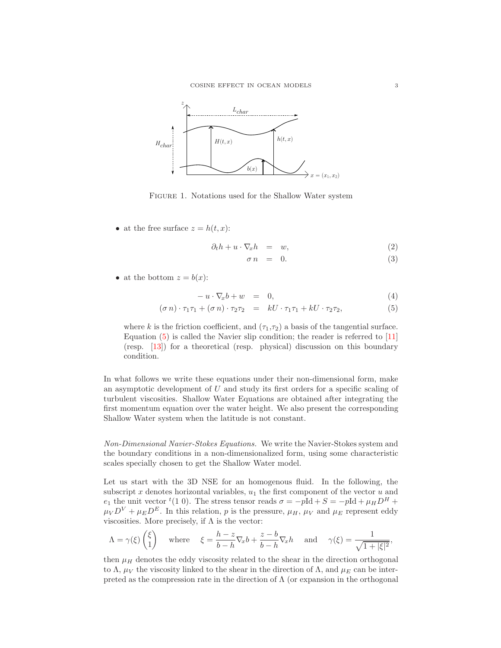

<span id="page-3-0"></span>Figure 1. Notations used for the Shallow Water system

• at the free surface  $z = h(t, x)$ :

$$
\partial_t h + u \cdot \nabla_x h = w,\tag{2}
$$

$$
\sigma n = 0. \tag{3}
$$

• at the bottom  $z = b(x)$ :

<span id="page-3-1"></span>
$$
-u \cdot \nabla_x b + w = 0, \tag{4}
$$

$$
(\sigma n) \cdot \tau_1 \tau_1 + (\sigma n) \cdot \tau_2 \tau_2 = kU \cdot \tau_1 \tau_1 + kU \cdot \tau_2 \tau_2, \tag{5}
$$

where k is the friction coefficient, and  $(\tau_1, \tau_2)$  a basis of the tangential surface. Equation [\(5\)](#page-3-1) is called the Navier slip condition; the reader is referred to [\[11\]](#page-16-12) (resp. [\[13\]](#page-16-13)) for a theoretical (resp. physical) discussion on this boundary condition.

In what follows we write these equations under their non-dimensional form, make an asymptotic development of  $U$  and study its first orders for a specific scaling of turbulent viscosities. Shallow Water Equations are obtained after integrating the first momentum equation over the water height. We also present the corresponding Shallow Water system when the latitude is not constant.

Non-Dimensional Navier-Stokes Equations. We write the Navier-Stokes system and the boundary conditions in a non-dimensionalized form, using some characteristic scales specially chosen to get the Shallow Water model.

Let us start with the 3D NSE for an homogenous fluid. In the following, the subscript x denotes horizontal variables,  $u_1$  the first component of the vector u and  $e_1$  the unit vector <sup>t</sup>(1 0). The stress tensor reads  $\sigma = -pId + S = -pId + \mu_H D^H +$  $\mu_V D^V + \mu_E D^E$ . In this relation, p is the pressure,  $\mu_H$ ,  $\mu_V$  and  $\mu_E$  represent eddy viscosities. More precisely, if  $\Lambda$  is the vector:

$$
\Lambda = \gamma(\xi) \begin{pmatrix} \xi \\ 1 \end{pmatrix} \quad \text{where} \quad \xi = \frac{h-z}{b-h} \nabla_x b + \frac{z-b}{b-h} \nabla_x h \quad \text{and} \quad \gamma(\xi) = \frac{1}{\sqrt{1+|\xi|^2}},
$$

then  $\mu$ <sub>H</sub> denotes the eddy viscosity related to the shear in the direction orthogonal to  $\Lambda$ ,  $\mu_V$  the viscosity linked to the shear in the direction of  $\Lambda$ , and  $\mu_E$  can be interpreted as the compression rate in the direction of  $\Lambda$  (or expansion in the orthogonal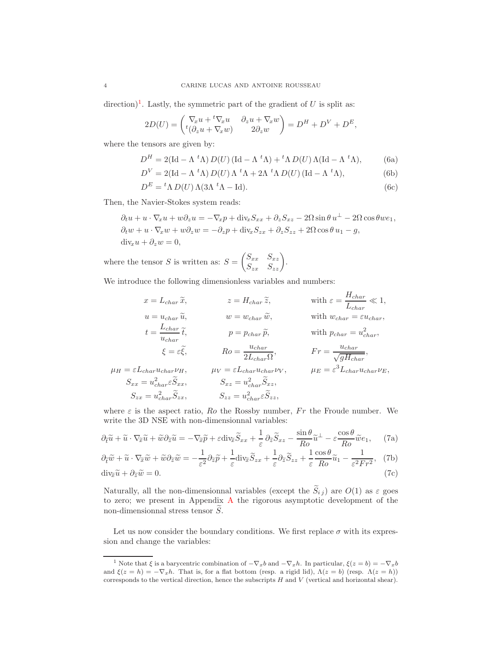direction)<sup>[1](#page-4-0)</sup>. Lastly, the symmetric part of the gradient of U is split as:

$$
2D(U) = \begin{pmatrix} \nabla_x u + {}^t \nabla_x u & \partial_z u + \nabla_x w \\ {}^t (\partial_z u + \nabla_x w) & 2\partial_z w \end{pmatrix} = D^H + D^V + D^E,
$$

where the tensors are given by:

$$
D^{H} = 2(\text{Id} - \Lambda^{t} \Lambda) D(U) (\text{Id} - \Lambda^{t} \Lambda) + {}^{t} \Lambda D(U) \Lambda (\text{Id} - \Lambda^{t} \Lambda),
$$
 (6a)

$$
D^{V} = 2(\text{Id} - \Lambda^{t} \Lambda) D(U) \Lambda^{t} \Lambda + 2\Lambda^{t} \Lambda D(U) (\text{Id} - \Lambda^{t} \Lambda), \tag{6b}
$$

$$
D^{E} = {}^{t}\Lambda D(U) \Lambda (3\Lambda {}^{t}\Lambda - \text{Id}). \tag{6c}
$$

Then, the Navier-Stokes system reads:

$$
\partial_t u + u \cdot \nabla_x u + w \partial_z u = -\nabla_x p + \text{div}_x S_{xx} + \partial_z S_{xz} - 2\Omega \sin \theta u^{\perp} - 2\Omega \cos \theta w e_1,
$$
  
\n
$$
\partial_t w + u \cdot \nabla_x w + w \partial_z w = -\partial_z p + \text{div}_x S_{zx} + \partial_z S_{zz} + 2\Omega \cos \theta u_1 - g,
$$
  
\n
$$
\text{div}_x u + \partial_z w = 0,
$$

where the tensor  $S$  is written as:  $S =$  $\begin{pmatrix} S_{xx} & S_{xz} \\ S_{zx} & S_{zz} \end{pmatrix}$ .

We introduce the following dimensionless variables and numbers:

$$
x = L_{char}\tilde{x}, \t z = H_{char}\tilde{z}, \t \text{with } \varepsilon = \frac{H_{char}}{L_{char}} \ll 1,
$$
  
\n
$$
u = u_{char}\tilde{u}, \t w = w_{char}\tilde{w}, \t \text{with } w_{char} = \varepsilon u_{char},
$$
  
\n
$$
t = \frac{L_{char}}{u_{char}} \tilde{t}, \t p = p_{char}\tilde{p}, \t \text{with } w_{char} = u_{char}^2,
$$
  
\n
$$
\xi = \varepsilon \tilde{\xi}, \t Ro = \frac{u_{char}}{2L_{char}\Omega}, \t Fr = \frac{u_{char}}{\sqrt{gH_{char}}},
$$
  
\n
$$
\mu_H = \varepsilon L_{char}u_{char}\nu_H, \t \mu_V = \varepsilon L_{char}u_{char}\nu_V, \t \mu_E = \varepsilon^3 L_{char}u_{char}\nu_E,
$$
  
\n
$$
S_{xx} = u_{char}^2 \tilde{S}_{xx}, \t S_{zz} = u_{char}^2 \tilde{S}_{zz},
$$
  
\n
$$
S_{zx} = u_{char}^2 \tilde{S}_{zx}, \t S_{zz} = u_{char}^2 \tilde{S}_{zz},
$$

where  $\varepsilon$  is the aspect ratio,  $Ro$  the Rossby number,  $Fr$  the Froude number. We write the 3D NSE with non-dimensionnal variables:

$$
\partial_{\tilde{t}} \tilde{u} + \tilde{u} \cdot \nabla_{\tilde{x}} \tilde{u} + \tilde{w} \partial_{\tilde{z}} \tilde{u} = -\nabla_{\tilde{x}} \tilde{p} + \varepsilon \text{div}_{\tilde{x}} \tilde{S}_{xx} + \frac{1}{\varepsilon} \partial_{\tilde{z}} \tilde{S}_{xz} - \frac{\sin \theta}{R_o} \tilde{u}^\perp - \varepsilon \frac{\cos \theta}{Ro} \tilde{w} e_1, \tag{7a}
$$

<span id="page-4-1"></span>
$$
\partial_{\tilde{t}}\tilde{w} + \tilde{u} \cdot \nabla_{\tilde{x}}\tilde{w} + \tilde{w}\partial_{\tilde{z}}\tilde{w} = -\frac{1}{\varepsilon^2}\partial_{\tilde{z}}\tilde{p} + \frac{1}{\varepsilon}\text{div}_{\tilde{x}}\tilde{S}_{zx} + \frac{1}{\varepsilon}\partial_{\tilde{z}}\tilde{S}_{zz} + \frac{1}{\varepsilon}\frac{\cos\theta}{Ro}\tilde{u}_1 - \frac{1}{\varepsilon^2 Fr^2}, \quad (7b)
$$
  
div<sub>x</sub>\tilde{u} + \partial\_{\tilde{z}}\tilde{w} = 0. \tag{7c}

Naturally, all the non-dimensionnal variables (except the  $\widetilde{S}_{i,j}$ ) are  $O(1)$  as  $\varepsilon$  goes to zero; we present in Appendix [A](#page-14-0) the rigorous asymptotic development of the non-dimensionnal stress tensor  $S$ .

Let us now consider the boundary conditions. We first replace  $\sigma$  with its expression and change the variables:

<span id="page-4-0"></span><sup>&</sup>lt;sup>1</sup> Note that  $\xi$  is a barycentric combination of  $-\nabla_x b$  and  $-\nabla_x h$ . In particular,  $\xi(z = b) = -\nabla_x b$ and  $\xi(z=h) = -\nabla_x h$ . That is, for a flat bottom (resp. a rigid lid),  $\Lambda(z=b)$  (resp.  $\Lambda(z=h)$ ) corresponds to the vertical direction, hence the subscripts  $H$  and  $V$  (vertical and horizontal shear).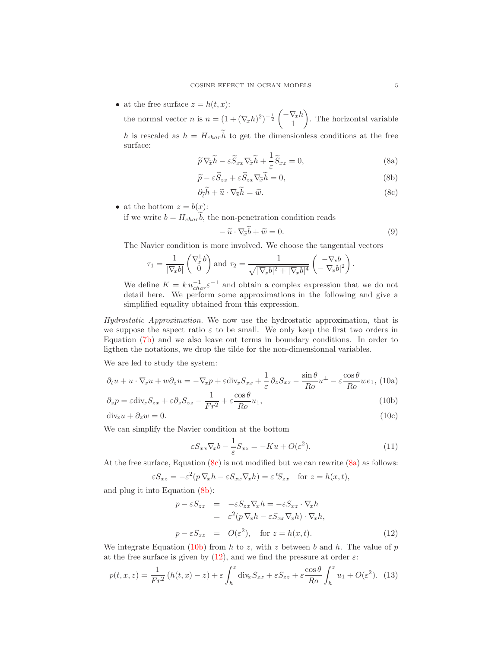• at the free surface  $z = h(t, x)$ :

the normal vector *n* is  $n = (1 + (\nabla_x h)^2)^{-\frac{1}{2}} \begin{pmatrix} -\nabla_x h & 1 \\ 1 & -\nabla_x h & 1 \end{pmatrix}$ 1  $\overline{\phantom{0}}$ . The horizontal variable h is rescaled as  $h = H_{char}\tilde{h}$  to get the dimensionless conditions at the free surface:

$$
\widetilde{p}\nabla_{\widetilde{x}}\widetilde{h} - \varepsilon \widetilde{S}_{xx}\nabla_{\widetilde{x}}\widetilde{h} + \frac{1}{\varepsilon}\widetilde{S}_{xz} = 0, \tag{8a}
$$

$$
\widetilde{p} - \varepsilon \widetilde{S}_{zz} + \varepsilon \widetilde{S}_{zx} \nabla_{\widetilde{x}} \widetilde{h} = 0, \tag{8b}
$$

$$
\partial_{\tilde{t}} \tilde{h} + \tilde{u} \cdot \nabla_{\tilde{x}} \tilde{h} = \tilde{w}.
$$
 (8c)

• at the bottom  $z = b(x)$ :

if we write  $b = H_{char}\tilde{b}$ , the non-penetration condition reads

<span id="page-5-6"></span>
$$
-\tilde{u}\cdot\nabla_{\tilde{x}}\tilde{b}+\tilde{w}=0.
$$
\n(9)

<span id="page-5-8"></span><span id="page-5-5"></span><span id="page-5-3"></span><span id="page-5-2"></span><span id="page-5-1"></span><span id="page-5-0"></span>.

The Navier condition is more involved. We choose the tangential vectors

$$
\tau_1 = \frac{1}{|\nabla_x b|} \begin{pmatrix} \nabla_x^{\perp} b \\ 0 \end{pmatrix} \text{and } \tau_2 = \frac{1}{\sqrt{|\nabla_x b|^2 + |\nabla_x b|^4}} \begin{pmatrix} -\nabla_x b \\ -|\nabla_x b|^2 \end{pmatrix}
$$

We define  $K = k u_{char}^{-1} \varepsilon^{-1}$  and obtain a complex expression that we do not detail here. We perform some approximations in the following and give a simplified equality obtained from this expression.

Hydrostatic Approximation. We now use the hydrostatic approximation, that is we suppose the aspect ratio  $\varepsilon$  to be small. We only keep the first two orders in Equation [\(7b\)](#page-4-1) and we also leave out terms in boundary conditions. In order to ligthen the notations, we drop the tilde for the non-dimensionnal variables.

We are led to study the system:

$$
\partial_t u + u \cdot \nabla_x u + w \partial_z u = -\nabla_x p + \varepsilon \text{div}_x S_{xx} + \frac{1}{\varepsilon} \partial_z S_{xz} - \frac{\sin \theta}{Ro} u^\perp - \varepsilon \frac{\cos \theta}{Ro} w e_1, \text{ (10a)}
$$

$$
\partial_z p = \varepsilon \text{div}_x S_{zx} + \varepsilon \partial_z S_{zz} - \frac{1}{Fr^2} + \varepsilon \frac{\cos \theta}{Ro} u_1,\tag{10b}
$$

 $\text{div}_x u + \partial_z w = 0.$  (10c)

We can simplify the Navier condition at the bottom

<span id="page-5-7"></span>
$$
\varepsilon S_{xx} \nabla_x b - \frac{1}{\varepsilon} S_{xz} = -Ku + O(\varepsilon^2). \tag{11}
$$

At the free surface, Equation  $(8c)$  is not modified but we can rewrite  $(8a)$  as follows:

$$
\varepsilon S_{xz} = -\varepsilon^2 (p \nabla_x h - \varepsilon S_{xx} \nabla_x h) = \varepsilon^t S_{zx} \quad \text{for } z = h(x, t),
$$

and plug it into Equation [\(8b\)](#page-5-2):

<span id="page-5-4"></span>
$$
p - \varepsilon S_{zz} = -\varepsilon S_{xx} \nabla_x h = -\varepsilon S_{xz} \cdot \nabla_x h
$$
  
\n
$$
= \varepsilon^2 (p \nabla_x h - \varepsilon S_{xx} \nabla_x h) \cdot \nabla_x h,
$$
  
\n
$$
p - \varepsilon S_{zz} = O(\varepsilon^2), \text{ for } z = h(x, t).
$$
 (12)

We integrate Equation [\(10b\)](#page-5-3) from h to z, with z between b and h. The value of p at the free surface is given by  $(12)$ , and we find the pressure at order  $\varepsilon$ :

<span id="page-5-9"></span>
$$
p(t, x, z) = \frac{1}{Fr^2} \left( h(t, x) - z \right) + \varepsilon \int_h^z \text{div}_x S_{zx} + \varepsilon S_{zz} + \varepsilon \frac{\cos \theta}{Ro} \int_h^z u_1 + O(\varepsilon^2). \tag{13}
$$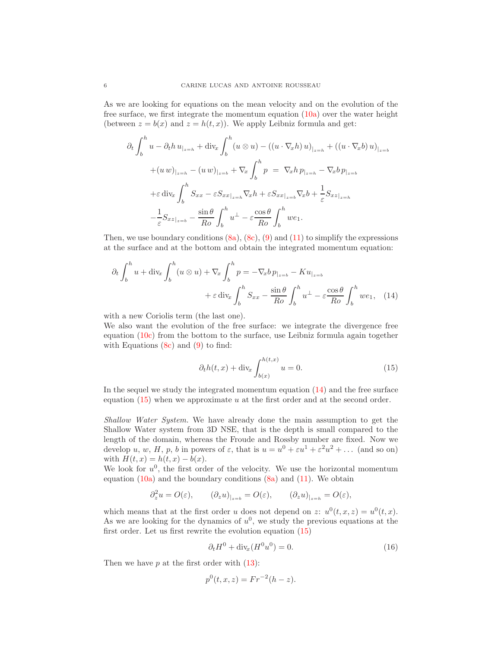As we are looking for equations on the mean velocity and on the evolution of the free surface, we first integrate the momentum equation  $(10a)$  over the water height (between  $z = b(x)$  and  $z = h(t, x)$ ). We apply Leibniz formula and get:

$$
\partial_t \int_b^h u - \partial_t h u_{|z=h} + \text{div}_x \int_b^h (u \otimes u) - ((u \cdot \nabla_x h) u)_{|z=h} + ((u \cdot \nabla_x b) u)_{|z=b}
$$

$$
+ (u \, w)_{|z=h} - (u \, w)_{|z=b} + \nabla_x \int_b^h p = \nabla_x h p_{|z=h} - \nabla_x b p_{|z=b}
$$

$$
+ \varepsilon \, \text{div}_x \int_b^h S_{xx} - \varepsilon S_{xx|_{z=h}} \nabla_x h + \varepsilon S_{xx|_{z=b}} \nabla_x b + \frac{1}{\varepsilon} S_{xx|_{z=h}}
$$

$$
- \frac{1}{\varepsilon} S_{xz|_{z=b}} - \frac{\sin \theta}{Ro} \int_b^h u^\perp - \varepsilon \frac{\cos \theta}{Ro} \int_b^h w e_1.
$$

Then, we use boundary conditions  $(8a)$ ,  $(8c)$ ,  $(9)$  and  $(11)$  to simplify the expressions at the surface and at the bottom and obtain the integrated momentum equation:

$$
\partial_t \int_b^h u + \operatorname{div}_x \int_b^h (u \otimes u) + \nabla_x \int_b^h p = -\nabla_x b \, p_{|_{z=b}} - K u_{|_{z=b}} + \varepsilon \operatorname{div}_x \int_b^h S_{xx} - \frac{\sin \theta}{Ro} \int_b^h u^{\perp} - \varepsilon \frac{\cos \theta}{Ro} \int_b^h w e_1, \quad (14)
$$

with a new Coriolis term (the last one).

We also want the evolution of the free surface: we integrate the divergence free equation [\(10c\)](#page-5-8) from the bottom to the surface, use Leibniz formula again together with Equations  $(8c)$  and  $(9)$  to find:

<span id="page-6-1"></span><span id="page-6-0"></span>
$$
\partial_t h(t, x) + \text{div}_x \int_{b(x)}^{h(t, x)} u = 0.
$$
\n(15)

In the sequel we study the integrated momentum equation [\(14\)](#page-6-0) and the free surface equation  $(15)$  when we approximate u at the first order and at the second order.

Shallow Water System. We have already done the main assumption to get the Shallow Water system from 3D NSE, that is the depth is small compared to the length of the domain, whereas the Froude and Rossby number are fixed. Now we develop u, w, H, p, b in powers of  $\varepsilon$ , that is  $u = u^0 + \varepsilon u^1 + \varepsilon^2 u^2 + \dots$  (and so on) with  $H(t, x) = h(t, x) - b(x)$ .

We look for  $u^0$ , the first order of the velocity. We use the horizontal momentum equation  $(10a)$  and the boundary conditions  $(8a)$  and  $(11)$ . We obtain

$$
\partial_z^2 u = O(\varepsilon), \qquad (\partial_z u)_{|_{z=b}} = O(\varepsilon), \qquad (\partial_z u)_{|_{z=h}} = O(\varepsilon),
$$

which means that at the first order u does not depend on z:  $u^0(t, x, z) = u^0(t, x)$ . As we are looking for the dynamics of  $u^0$ , we study the previous equations at the first order. Let us first rewrite the evolution equation [\(15\)](#page-6-1)

<span id="page-6-2"></span>
$$
\partial_t H^0 + \text{div}_x(H^0 u^0) = 0. \tag{16}
$$

Then we have  $p$  at the first order with  $(13)$ :

$$
p^{0}(t, x, z) = Fr^{-2}(h - z).
$$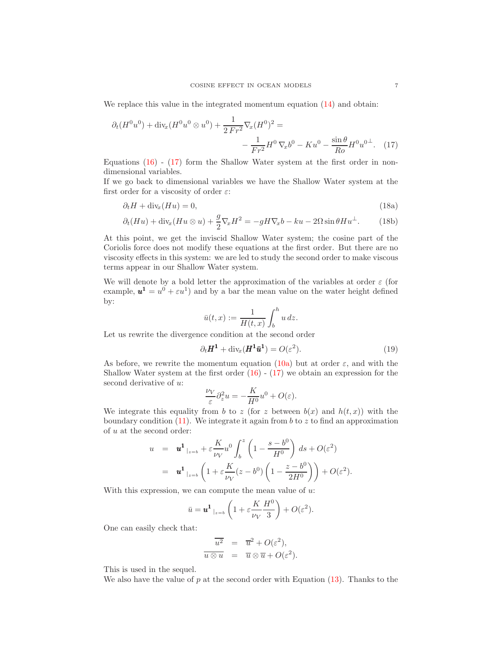We replace this value in the integrated momentum equation  $(14)$  and obtain:

$$
\partial_t (H^0 u^0) + \text{div}_x (H^0 u^0 \otimes u^0) + \frac{1}{2 Fr^2} \nabla_x (H^0)^2 =
$$
  

$$
-\frac{1}{Fr^2} H^0 \nabla_x b^0 - K u^0 - \frac{\sin \theta}{R_o} H^0 u^{0\perp}.
$$
 (17)

Equations [\(16\)](#page-6-2) - [\(17\)](#page-7-0) form the Shallow Water system at the first order in nondimensional variables.

If we go back to dimensional variables we have the Shallow Water system at the first order for a viscosity of order  $\varepsilon$ :

<span id="page-7-2"></span>
$$
\partial_t H + \text{div}_x(Hu) = 0,\tag{18a}
$$

$$
\partial_t (Hu) + \text{div}_x (Hu \otimes u) + \frac{g}{2} \nabla_x H^2 = -gH \nabla_x b - ku - 2\Omega \sin \theta H u^{\perp}.
$$
 (18b)

At this point, we get the inviscid Shallow Water system; the cosine part of the Coriolis force does not modify these equations at the first order. But there are no viscosity effects in this system: we are led to study the second order to make viscous terms appear in our Shallow Water system.

We will denote by a bold letter the approximation of the variables at order  $\varepsilon$  (for example,  $u^1 = u^0 + \varepsilon u^1$  and by a bar the mean value on the water height defined by:

<span id="page-7-0"></span>
$$
\bar{u}(t,x):=\frac{1}{H(t,x)}\int_b^h u\,dz.
$$

Let us rewrite the divergence condition at the second order

<span id="page-7-1"></span>
$$
\partial_t \mathbf{H}^1 + \text{div}_x(\mathbf{H}^1 \bar{\mathbf{u}}^1) = O(\varepsilon^2). \tag{19}
$$

As before, we rewrite the momentum equation [\(10a\)](#page-5-5) but at order  $\varepsilon$ , and with the Shallow Water system at the first order  $(16) - (17)$  $(16) - (17)$  we obtain an expression for the second derivative of u:

$$
\frac{\nu_V}{\varepsilon} \partial_z^2 u = -\frac{K}{H^0} u^0 + O(\varepsilon).
$$

We integrate this equality from b to z (for z between  $b(x)$  and  $h(t, x)$ ) with the boundary condition  $(11)$ . We integrate it again from b to z to find an approximation of  $u$  at the second order:

$$
u = \mathbf{u}^1_{|z=b} + \varepsilon \frac{K}{\nu_V} u^0 \int_b^z \left(1 - \frac{s-b^0}{H^0}\right) ds + O(\varepsilon^2)
$$
  

$$
= \mathbf{u}^1_{|z=b} \left(1 + \varepsilon \frac{K}{\nu_V} (z-b^0) \left(1 - \frac{z-b^0}{2H^0}\right)\right) + O(\varepsilon^2).
$$

With this expression, we can compute the mean value of  $u$ :

$$
\bar{u} = \mathbf{u}^1|_{z=b} \left( 1 + \varepsilon \frac{K}{\nu_V} \frac{H^0}{3} \right) + O(\varepsilon^2).
$$

One can easily check that:

$$
\overline{u^2} = \overline{u}^2 + O(\varepsilon^2),
$$
  

$$
\overline{u \otimes u} = \overline{u} \otimes \overline{u} + O(\varepsilon^2).
$$

This is used in the sequel.

We also have the value of  $p$  at the second order with Equation [\(13\)](#page-5-9). Thanks to the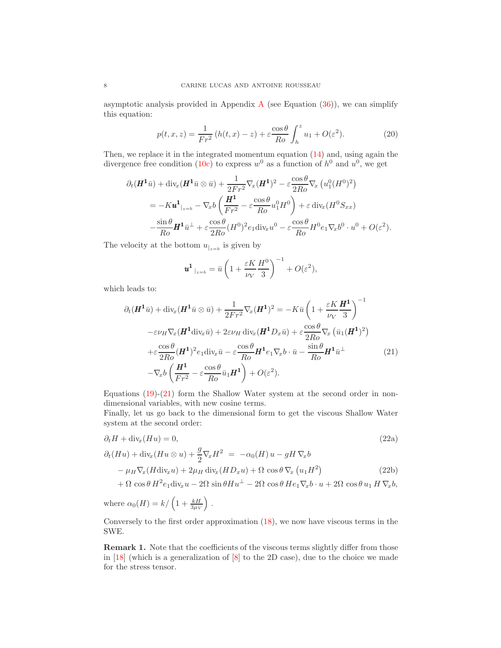asymptotic analysis provided in [A](#page-14-0)ppendix A (see Equation  $(36)$ ), we can simplify this equation:

$$
p(t, x, z) = \frac{1}{Fr^2} \left( h(t, x) - z \right) + \varepsilon \frac{\cos \theta}{Ro} \int_h^z u_1 + O(\varepsilon^2). \tag{20}
$$

Then, we replace it in the integrated momentum equation [\(14\)](#page-6-0) and, using again the divergence free condition [\(10c\)](#page-5-8) to express  $w^0$  as a function of  $h^0$  and  $u^0$ , we get

$$
\partial_t (\mathbf{H}^1 \bar{u}) + \text{div}_x (\mathbf{H}^1 \bar{u} \otimes \bar{u}) + \frac{1}{2Fr^2} \nabla_x (\mathbf{H}^1)^2 - \varepsilon \frac{\cos \theta}{2Ro} \nabla_x \left( u_1^0 (H^0)^2 \right)
$$
  
=  $-K \mathbf{u}^1|_{z=b} - \nabla_x b \left( \frac{\mathbf{H}^1}{Fr^2} - \varepsilon \frac{\cos \theta}{Ro} u_1^0 H^0 \right) + \varepsilon \text{ div}_x (H^0 S_{xx})$   
 $- \frac{\sin \theta}{Ro} \mathbf{H}^1 \bar{u}^\perp + \varepsilon \frac{\cos \theta}{2Ro} (H^0)^2 e_1 \text{div}_x u^0 - \varepsilon \frac{\cos \theta}{Ro} H^0 e_1 \nabla_x b^0 \cdot u^0 + O(\varepsilon^2).$ 

The velocity at the bottom  $u_{z=b}$  is given by

$$
\boldsymbol{u^1}_{|_{z=b}} = \bar{u} \left( 1 + \frac{\varepsilon K}{\nu_V} \frac{H^0}{3} \right)^{-1} + O(\varepsilon^2),
$$

which leads to:

<span id="page-8-0"></span>
$$
\partial_t(\boldsymbol{H}^1 \bar{u}) + \text{div}_x(\boldsymbol{H}^1 \bar{u} \otimes \bar{u}) + \frac{1}{2Fr^2} \nabla_x(\boldsymbol{H}^1)^2 = -K \bar{u} \left( 1 + \frac{\varepsilon K}{\nu_V} \frac{\boldsymbol{H}^1}{3} \right)^{-1} \n- \varepsilon \nu_H \nabla_x(\boldsymbol{H}^1 \text{div}_x \bar{u}) + 2\varepsilon \nu_H \text{div}_x(\boldsymbol{H}^1 D_x \bar{u}) + \varepsilon \frac{\cos \theta}{2Ro} \nabla_x (\bar{u}_1(\boldsymbol{H}^1)^2) \n+ \varepsilon \frac{\cos \theta}{2Ro} (\boldsymbol{H}^1)^2 e_1 \text{div}_x \bar{u} - \varepsilon \frac{\cos \theta}{Ro} \boldsymbol{H}^1 e_1 \nabla_x b \cdot \bar{u} - \frac{\sin \theta}{Ro} \boldsymbol{H}^1 \bar{u}^\perp \n- \nabla_x b \left( \frac{\boldsymbol{H}^1}{Fr^2} - \varepsilon \frac{\cos \theta}{Ro} \bar{u}_1 \boldsymbol{H}^1 \right) + O(\varepsilon^2).
$$
\n(21)

Equations  $(19)-(21)$  $(19)-(21)$  form the Shallow Water system at the second order in nondimensional variables, with new cosine terms.

Finally, let us go back to the dimensional form to get the viscous Shallow Water system at the second order:

$$
\partial_t H + \text{div}_x(Hu) = 0,
$$
\n
$$
(\partial_t H + \text{div}_x(Hu \otimes u) + \frac{g}{2} \nabla_x H^2 = -\alpha_0(H) u - gH \nabla_x b
$$
\n
$$
-\mu_H \nabla_x (H \text{div}_x u) + 2\mu_H \text{div}_x (H D_x u) + \Omega \cos \theta \nabla_x (u_1 H^2)
$$
\n
$$
+\Omega \cos \theta H^2 e_1 \text{div}_x u - 2\Omega \sin \theta H u^{\perp} - 2\Omega \cos \theta H e_1 \nabla_x b \cdot u + 2\Omega \cos \theta u_1 H \nabla_x b,
$$
\n(22b)

<span id="page-8-1"></span>where  $\alpha_0(H) = k / \left(1 + \frac{kH}{3\mu V}\right)$  $\big)$ .

Conversely to the first order approximation [\(18\)](#page-7-2), we now have viscous terms in the SWE.

Remark 1. Note that the coefficients of the viscous terms slightly differ from those in [\[18\]](#page-16-2) (which is a generalization of [\[8\]](#page-16-1) to the 2D case), due to the choice we made for the stress tensor.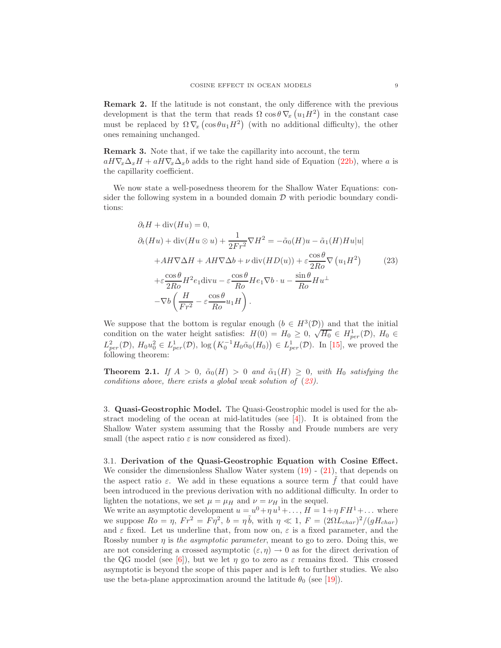Remark 2. If the latitude is not constant, the only difference with the previous development is that the term that reads  $\Omega \cos \theta \nabla_x (u_1 H^2)$  in the constant case must be replaced by  $\Omega \nabla_x (\cos \theta u_1 H^2)$  (with no additional difficulty), the other ones remaining unchanged.

Remark 3. Note that, if we take the capillarity into account, the term  $aH\nabla_x\Delta_xH + aH\nabla_x\Delta_xb$  adds to the right hand side of Equation [\(22b\)](#page-8-1), where a is the capillarity coefficient.

We now state a well-posedness theorem for the Shallow Water Equations: consider the following system in a bounded domain  $D$  with periodic boundary conditions:

<span id="page-9-1"></span>
$$
\partial_t H + \text{div}(Hu) = 0,
$$
  
\n
$$
\partial_t (Hu) + \text{div}(Hu \otimes u) + \frac{1}{2Fr^2} \nabla H^2 = -\tilde{\alpha}_0(H)u - \tilde{\alpha}_1(H)Hu|u|
$$
  
\n
$$
+ AH \nabla \Delta H + AH \nabla \Delta b + \nu \text{ div}(HD(u)) + \varepsilon \frac{\cos \theta}{2Ro} \nabla (u_1 H^2)
$$
(23)  
\n
$$
+ \varepsilon \frac{\cos \theta}{2Ro} H^2 e_1 \text{div}u - \varepsilon \frac{\cos \theta}{Ro} He_1 \nabla b \cdot u - \frac{\sin \theta}{Ro} Hu^{\perp}
$$
  
\n
$$
- \nabla b \left( \frac{H}{Fr^2} - \varepsilon \frac{\cos \theta}{Ro} u_1 H \right).
$$

We suppose that the bottom is regular enough  $(b \in H^3(\mathcal{D}))$  and that the initial condition on the water height satisfies:  $H(0) = H_0 \ge 0$ ,  $\sqrt{H_0} \in H_{per}^1(\mathcal{D})$ ,  $H_0 \in$  $L_{per}^2(\mathcal{D}), H_0u_0^2 \in L_{per}^1(\mathcal{D}), \log \left(K_0^{-1}H_0\tilde{\alpha}_0(H_0)\right) \in L_{per}^1(\mathcal{D}).$  In [\[15\]](#page-16-11), we proved the following theorem:

**Theorem 2.1.** If  $A > 0$ ,  $\tilde{\alpha}_0(H) > 0$  and  $\tilde{\alpha}_1(H) \geq 0$ , with  $H_0$  satisfying the conditions above, there exists a global weak solution of ([23\)](#page-9-1).

<span id="page-9-0"></span>3. Quasi-Geostrophic Model. The Quasi-Geostrophic model is used for the abstract modeling of the ocean at mid-latitudes (see  $[4]$ ). It is obtained from the Shallow Water system assuming that the Rossby and Froude numbers are very small (the aspect ratio  $\varepsilon$  is now considered as fixed).

3.1. Derivation of the Quasi-Geostrophic Equation with Cosine Effect. We consider the dimensionless Shallow Water system  $(19)$  -  $(21)$ , that depends on the aspect ratio  $\varepsilon$ . We add in these equations a source term  $\hat{f}$  that could have been introduced in the previous derivation with no additional difficulty. In order to lighten the notations, we set  $\mu = \mu_H$  and  $\nu = \nu_H$  in the sequel.

We write an asymptotic development  $u = u^0 + \eta u^1 + \dots$ ,  $H = 1 + \eta F H^1 + \dots$  where we suppose  $Ro = \eta$ ,  $Fr^2 = F\eta^2$ ,  $b = \eta \tilde{b}$ , with  $\eta \ll 1$ ,  $F = (2\Omega L_{char})^2/(gH_{char})$ and  $\varepsilon$  fixed. Let us underline that, from now on,  $\varepsilon$  is a fixed parameter, and the Rossby number  $\eta$  is the asymptotic parameter, meant to go to zero. Doing this, we are not considering a crossed asymptotic  $(\varepsilon, \eta) \to 0$  as for the direct derivation of the QG model (see [\[6\]](#page-16-16)), but we let  $\eta$  go to zero as  $\varepsilon$  remains fixed. This crossed asymptotic is beyond the scope of this paper and is left to further studies. We also use the beta-plane approximation around the latitude  $\theta_0$  (see [\[19\]](#page-16-17)).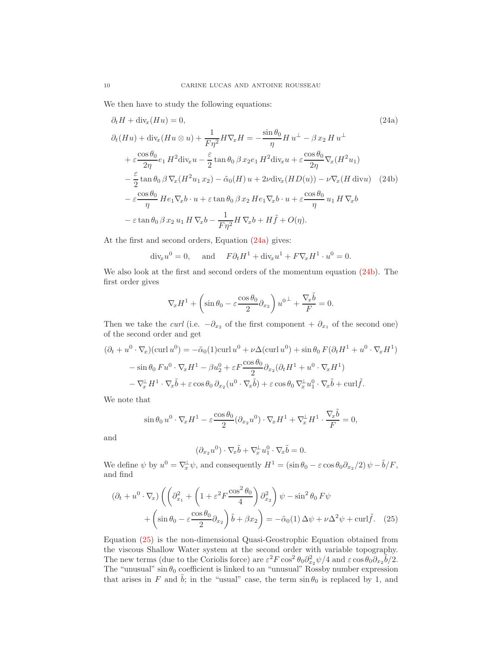We then have to study the following equations:

<span id="page-10-0"></span>
$$
\partial_t H + \text{div}_x(Hu) = 0,
$$
\n
$$
\partial_t (Hu) + \text{div}_x(Hu \otimes u) + \frac{1}{F\eta^2} H \nabla_x H = -\frac{\sin \theta_0}{\eta} H u^{\perp} - \beta x_2 H u^{\perp}
$$
\n
$$
+ \varepsilon \frac{\cos \theta_0}{2\eta} e_1 H^2 \text{div}_x u - \frac{\varepsilon}{2} \tan \theta_0 \beta x_2 e_1 H^2 \text{div}_x u + \varepsilon \frac{\cos \theta_0}{2\eta} \nabla_x (H^2 u_1)
$$
\n
$$
- \frac{\varepsilon}{2} \tan \theta_0 \beta \nabla_x (H^2 u_1 x_2) - \tilde{\alpha}_0 (H) u + 2\nu \text{div}_x (HD(u)) - \nu \nabla_x (H \text{ div} u) \quad (24b)
$$
\n
$$
- \varepsilon \frac{\cos \theta_0}{\eta} H e_1 \nabla_x b \cdot u + \varepsilon \tan \theta_0 \beta x_2 H e_1 \nabla_x b \cdot u + \varepsilon \frac{\cos \theta_0}{\eta} u_1 H \nabla_x b
$$
\n
$$
- \varepsilon \tan \theta_0 \beta x_2 u_1 H \nabla_x b - \frac{1}{F\eta^2} H \nabla_x b + H \tilde{f} + O(\eta).
$$
\n(24a)

At the first and second orders, Equation [\(24a\)](#page-10-0) gives:

<span id="page-10-1"></span> $\text{div}_x u^0 = 0$ , and  $F \partial_t H^1 + \text{div}_x u^1 + F \nabla_x H^1 \cdot u^0 = 0$ .

We also look at the first and second orders of the momentum equation [\(24b\)](#page-10-1). The first order gives

$$
\nabla_x H^1 + \left(\sin \theta_0 - \varepsilon \frac{\cos \theta_0}{2} \partial_{x_2}\right) u^{0\perp} + \frac{\nabla_x \tilde{b}}{F} = 0.
$$

Then we take the *curl* (i.e.  $-\partial_{x_2}$  of the first component +  $\partial_{x_1}$  of the second one) of the second order and get

$$
(\partial_t + u^0 \cdot \nabla_x)(\operatorname{curl} u^0) = -\tilde{\alpha}_0(1)\operatorname{curl} u^0 + \nu \Delta(\operatorname{curl} u^0) + \sin \theta_0 \ F(\partial_t H^1 + u^0 \cdot \nabla_x H^1)
$$
  

$$
-\sin \theta_0 \ F u^0 \cdot \nabla_x H^1 - \beta u_2^0 + \varepsilon F \frac{\cos \theta_0}{2} \partial_{x_2} (\partial_t H^1 + u^0 \cdot \nabla_x H^1)
$$
  

$$
-\nabla_x^{\perp} H^1 \cdot \nabla_x \tilde{b} + \varepsilon \cos \theta_0 \ \partial_{x_2} (u^0 \cdot \nabla_x \tilde{b}) + \varepsilon \cos \theta_0 \ \nabla_x^{\perp} u_1^0 \cdot \nabla_x \tilde{b} + \operatorname{curl} \tilde{f}.
$$

We note that

$$
\sin \theta_0 u^0 \cdot \nabla_x H^1 - \varepsilon \frac{\cos \theta_0}{2} (\partial_{x_2} u^0) \cdot \nabla_x H^1 + \nabla_x^{\perp} H^1 \cdot \frac{\nabla_x \tilde{b}}{F} = 0,
$$

and

<span id="page-10-2"></span>
$$
(\partial_{x_2} u^0) \cdot \nabla_x \tilde{b} + \nabla_x^{\perp} u_1^0 \cdot \nabla_x \tilde{b} = 0.
$$

We define  $\psi$  by  $u^0 = \nabla_x^{\perp} \psi$ , and consequently  $H^1 = (\sin \theta_0 - \varepsilon \cos \theta_0 \partial_{x_2}/2) \psi - \tilde{b}/F$ , and find

$$
(\partial_t + u^0 \cdot \nabla_x) \left( \left( \partial_{x_1}^2 + \left( 1 + \varepsilon^2 F \frac{\cos^2 \theta_0}{4} \right) \partial_{x_2}^2 \right) \psi - \sin^2 \theta_0 F \psi \right. \\
\left. + \left( \sin \theta_0 - \varepsilon \frac{\cos \theta_0}{2} \partial_{x_2} \right) \tilde{b} + \beta x_2 \right) = -\tilde{\alpha}_0(1) \Delta \psi + \nu \Delta^2 \psi + \text{curl} \tilde{f}.\n\tag{25}
$$

Equation [\(25\)](#page-10-2) is the non-dimensional Quasi-Geostrophic Equation obtained from the viscous Shallow Water system at the second order with variable topography. The new terms (due to the Coriolis force) are  $\varepsilon^2 F \cos^2 \theta_0 \partial_{x_2}^2 \psi / 4$  and  $\varepsilon \cos \theta_0 \partial_{x_2} \tilde{b} / 2$ . The "unusual" sin  $\theta_0$  coefficient is linked to an "unusual" Rossby number expression that arises in F and  $\ddot{b}$ ; in the "usual" case, the term  $\sin \theta_0$  is replaced by 1, and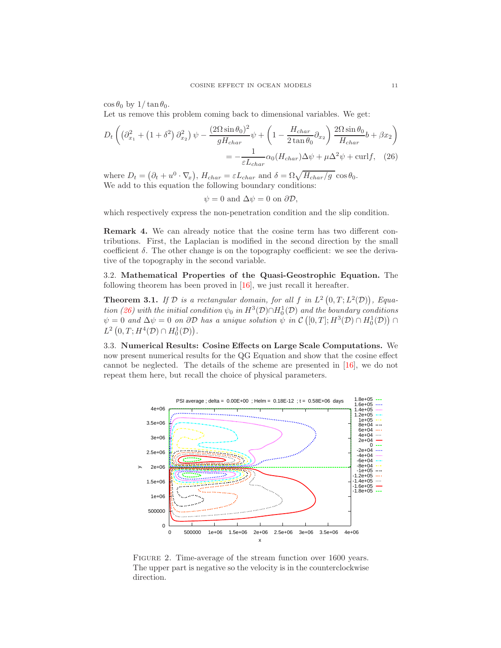$\cos\theta_0$  by  $1/\tan\theta_0$ .

Let us remove this problem coming back to dimensional variables. We get:

$$
D_t \left( \left( \partial_{x_1}^2 + \left( 1 + \delta^2 \right) \partial_{x_2}^2 \right) \psi - \frac{(2\Omega \sin \theta_0)^2}{gH_{char}} \psi + \left( 1 - \frac{H_{char}}{2 \tan \theta_0} \partial_{x_2} \right) \frac{2\Omega \sin \theta_0}{H_{char}} b + \beta x_2 \right)
$$
  
= 
$$
-\frac{1}{\varepsilon L_{char}} \alpha_0 (H_{char}) \Delta \psi + \mu \Delta^2 \psi + \text{curl} f, \quad (26)
$$

where  $D_t = (\partial_t + u^0 \cdot \nabla_x), H_{char} = \varepsilon L_{char}$  and  $\delta = \Omega \sqrt{H_{char}/g} \cos \theta_0$ . We add to this equation the following boundary conditions:

<span id="page-11-0"></span>
$$
\psi = 0
$$
 and  $\Delta \psi = 0$  on  $\partial \mathcal{D}$ ,

which respectively express the non-penetration condition and the slip condition.

Remark 4. We can already notice that the cosine term has two different contributions. First, the Laplacian is modified in the second direction by the small coefficient  $\delta$ . The other change is on the topography coefficient: we see the derivative of the topography in the second variable.

3.2. Mathematical Properties of the Quasi-Geostrophic Equation. The following theorem has been proved in [\[16\]](#page-16-18), we just recall it hereafter.

**Theorem 3.1.** If  $D$  is a rectangular domain, for all f in  $L^2(0,T;L^2(D))$ , Equa-tion [\(26\)](#page-11-0) with the initial condition  $\psi_0$  in  $H^3(\mathcal{D}) \cap H_0^1(\mathcal{D})$  and the boundary conditions  $\psi = 0$  and  $\Delta \psi = 0$  on  $\partial \mathcal{D}$  has a unique solution  $\psi$  in  $\mathcal{C}([0,T]; H^3(\mathcal{D}) \cap H_0^1(\mathcal{D}))$  $L^2(0,T;H^4(\mathcal{D})\cap H_0^1(\mathcal{D})).$ 

3.3. Numerical Results: Cosine Effects on Large Scale Computations. We now present numerical results for the QG Equation and show that the cosine effect cannot be neglected. The details of the scheme are presented in [\[16\]](#page-16-18), we do not repeat them here, but recall the choice of physical parameters.



<span id="page-11-1"></span>FIGURE 2. Time-average of the stream function over 1600 years. The upper part is negative so the velocity is in the counterclockwise direction.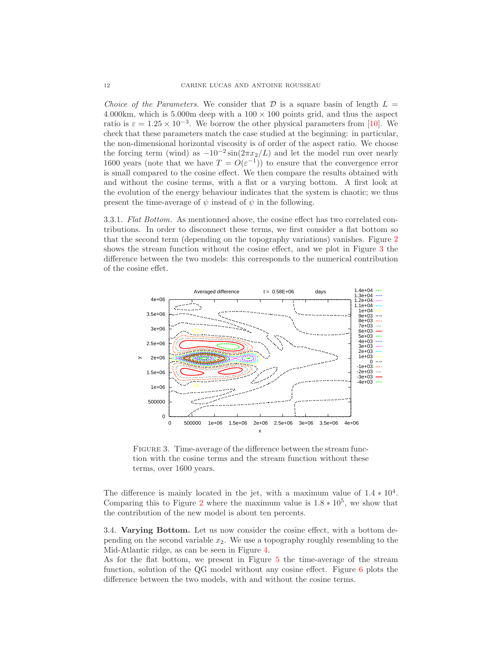Choice of the Parameters. We consider that  $\mathcal D$  is a square basin of length  $L =$ 4.000km, which is 5.000m deep with a  $100 \times 100$  points grid, and thus the aspect ratio is  $\varepsilon = 1.25 \times 10^{-3}$ . We borrow the other physical parameters from [\[10\]](#page-16-19). We check that these parameters match the case studied at the beginning: in particular, the non-dimensional horizontal viscosity is of order of the aspect ratio. We choose the forcing term (wind) as  $-10^{-2} \sin(2\pi x_2/L)$  and let the model run over nearly 1600 years (note that we have  $T = O(\varepsilon^{-1})$ ) to ensure that the convergence error is small compared to the cosine effect. We then compare the results obtained with and without the cosine terms, with a flat or a varying bottom. A first look at the evolution of the energy behaviour indicates that the system is chaotic; we thus present the time-average of  $\psi$  instead of  $\psi$  in the following.

3.3.1. Flat Bottom. As mentionned above, the cosine effect has two correlated contributions. In order to disconnect these terms, we first consider a flat bottom so that the second term (depending on the topography variations) vanishes. Figure [2](#page-11-1) shows the stream function without the cosine effect, and we plot in Figure [3](#page-12-0) the difference between the two models: this corresponds to the numerical contribution of the cosine effet.



<span id="page-12-0"></span>FIGURE 3. Time-average of the difference between the stream function with the cosine terms and the stream function without these terms, over 1600 years.

The difference is mainly located in the jet, with a maximum value of  $1.4 * 10<sup>4</sup>$ . Comparing this to Figure [2](#page-11-1) where the maximum value is  $1.8 * 10^5$ , we show that the contribution of the new model is about ten percents.

3.4. Varying Bottom. Let us now consider the cosine effect, with a bottom depending on the second variable  $x_2$ . We use a topography roughly resembling to the Mid-Atlantic ridge, as can be seen in Figure [4.](#page-13-0)

As for the flat bottom, we present in Figure [5](#page-13-1) the time-average of the stream function, solution of the QG model without any cosine effect. Figure [6](#page-14-1) plots the difference between the two models, with and without the cosine terms.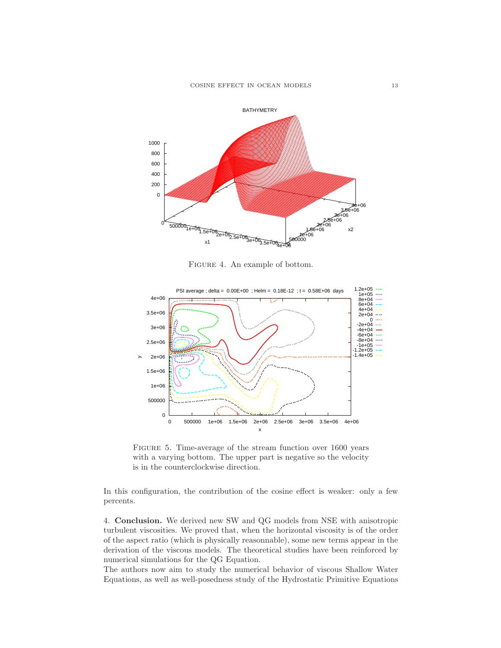

<span id="page-13-0"></span>Figure 4. An example of bottom.



<span id="page-13-1"></span>Figure 5. Time-average of the stream function over 1600 years with a varying bottom. The upper part is negative so the velocity is in the counterclockwise direction.

In this configuration, the contribution of the cosine effect is weaker: only a few percents.

4. Conclusion. We derived new SW and QG models from NSE with anisotropic turbulent viscosities. We proved that, when the horizontal viscosity is of the order of the aspect ratio (which is physically reasonnable), some new terms appear in the derivation of the viscous models. The theoretical studies have been reinforced by numerical simulations for the QG Equation.

The authors now aim to study the numerical behavior of viscous Shallow Water Equations, as well as well-posedness study of the Hydrostatic Primitive Equations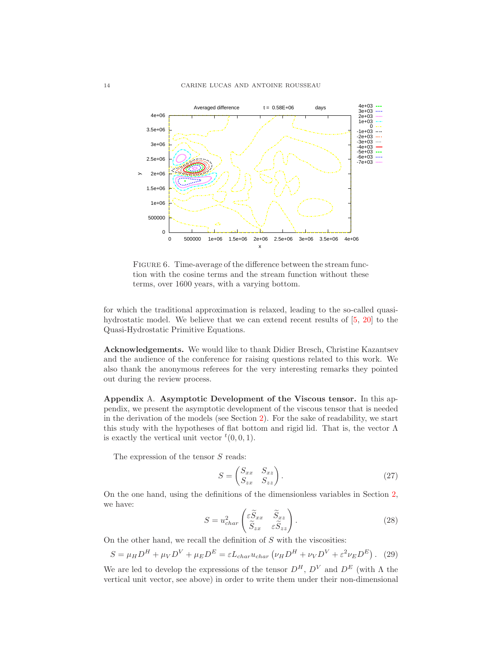

<span id="page-14-1"></span>FIGURE 6. Time-average of the difference between the stream function with the cosine terms and the stream function without these terms, over 1600 years, with a varying bottom.

for which the traditional approximation is relaxed, leading to the so-called quasihydrostatic model. We believe that we can extend recent results of [\[5,](#page-16-20) [20\]](#page-16-21) to the Quasi-Hydrostatic Primitive Equations.

Acknowledgements. We would like to thank Didier Bresch, Christine Kazantsev and the audience of the conference for raising questions related to this work. We also thank the anonymous referees for the very interesting remarks they pointed out during the review process.

<span id="page-14-0"></span>Appendix A. Asymptotic Development of the Viscous tensor. In this appendix, we present the asymptotic development of the viscous tensor that is needed in the derivation of the models (see Section [2\)](#page-2-0). For the sake of readability, we start this study with the hypotheses of flat bottom and rigid lid. That is, the vector  $\Lambda$ is exactly the vertical unit vector  ${}^t(0,0,1)$ .

The expression of the tensor  $S$  reads:

$$
S = \begin{pmatrix} S_{xx} & S_{xz} \\ S_{zx} & S_{zz} \end{pmatrix} . \tag{27}
$$

On the one hand, using the definitions of the dimensionless variables in Section [2,](#page-2-0) we have:

<span id="page-14-3"></span>
$$
S = u_{char}^2 \begin{pmatrix} \tilde{\varepsilon}_{Sxx} & \tilde{S}_{xz} \\ \tilde{S}_{zx} & \tilde{\varepsilon}_{Szz} \end{pmatrix} . \tag{28}
$$

On the other hand, we recall the definition of  $S$  with the viscosities:

<span id="page-14-2"></span>
$$
S = \mu_H D^H + \mu_V D^V + \mu_E D^E = \varepsilon L_{char} u_{char} \left( \nu_H D^H + \nu_V D^V + \varepsilon^2 \nu_E D^E \right). \tag{29}
$$

We are led to develop the expressions of the tensor  $D^H$ ,  $D^V$  and  $D^E$  (with  $\Lambda$  the vertical unit vector, see above) in order to write them under their non-dimensional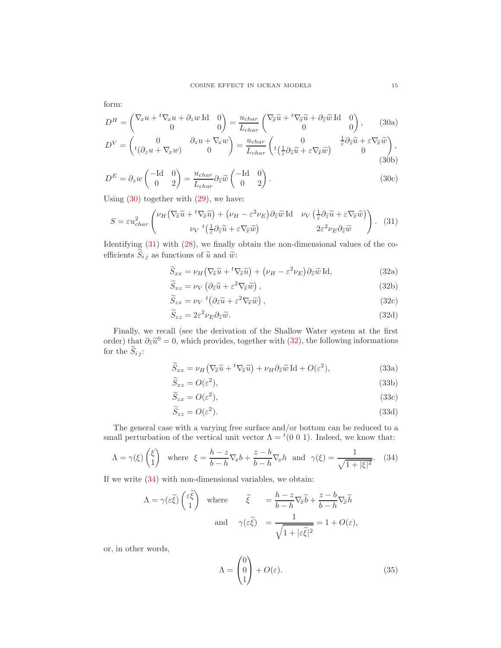<span id="page-15-0"></span>form:

$$
D^{H} = \begin{pmatrix} \nabla_x u + {}^{t}\nabla_x u + \partial_z w \operatorname{Id} & 0 \\ 0 & 0 \end{pmatrix} = \frac{u_{char}}{L_{char}} \begin{pmatrix} \nabla_{\tilde{x}} \tilde{u} + {}^{t}\nabla_{\tilde{x}} \tilde{u} + \partial_{\tilde{z}} \tilde{w} \operatorname{Id} & 0 \\ 0 & 0 \end{pmatrix}, \quad (30a)
$$
  
\n
$$
D^{V} = \begin{pmatrix} 0 & \partial_z u + \nabla_x w \\ {}^{t}(\partial_z u + \nabla_x w) & 0 \end{pmatrix} = \frac{u_{char}}{L_{char}} \begin{pmatrix} 0 & \frac{1}{\varepsilon} \partial_{\tilde{z}} \tilde{u} + \varepsilon \nabla_{\tilde{x}} \tilde{w} \\ {}^{t}(\frac{1}{\varepsilon} \partial_{\tilde{x}} \tilde{u} + \varepsilon \nabla_{\tilde{x}} \tilde{w}) & 0 \end{pmatrix}, \quad (30b)
$$

$$
D^{E} = \partial_{z} w \begin{pmatrix} -\text{Id} & 0\\ 0 & 2 \end{pmatrix} = \frac{u_{char}}{L_{char}} \partial_{\tilde{z}} \tilde{w} \begin{pmatrix} -\text{Id} & 0\\ 0 & 2 \end{pmatrix}.
$$
 (30c)

Using  $(30)$  together with  $(29)$ , we have:

<span id="page-15-1"></span>
$$
S = \varepsilon u_{char}^2 \left( \frac{\nu_H \left( \nabla_{\widetilde{x}} \widetilde{u} + {}^t \nabla_{\widetilde{x}} \widetilde{u} \right) + (\nu_H - \varepsilon^2 \nu_E) \partial_{\widetilde{z}} \widetilde{w} \operatorname{Id} \right) \nu_V \left( \frac{1}{\varepsilon} \partial_{\widetilde{z}} \widetilde{u} + \varepsilon \nabla_{\widetilde{x}} \widetilde{w} \right) \right). \tag{31}
$$

Identifying [\(31\)](#page-15-1) with [\(28\)](#page-14-3), we finally obtain the non-dimensional values of the coefficients  $S_{ij}$  as functions of  $\tilde{u}$  and  $\tilde{w}$ :

<span id="page-15-2"></span>
$$
\widetilde{S}_{xx} = \nu_H \left( \nabla_{\widetilde{x}} \widetilde{u} + {}^t \nabla_{\widetilde{x}} \widetilde{u} \right) + \left( \nu_H - \varepsilon^2 \nu_E \right) \partial_{\widetilde{z}} \widetilde{w} \operatorname{Id},\tag{32a}
$$

$$
\widetilde{S}_{xz} = \nu_V \left( \partial_{\widetilde{z}} \widetilde{u} + \varepsilon^2 \nabla_{\widetilde{x}} \widetilde{w} \right),\tag{32b}
$$

$$
\widetilde{S}_{zx} = \nu_V \, ^t \left( \partial_{\widetilde{z}} \widetilde{u} + \varepsilon^2 \nabla_{\widetilde{x}} \widetilde{w} \right), \tag{32c}
$$

$$
\widetilde{S}_{zz} = 2\varepsilon^2 \nu_E \partial_{\widetilde{z}} \widetilde{w}.\tag{32d}
$$

Finally, we recall (see the derivation of the Shallow Water system at the first order) that  $\partial_{\tilde{z}}\tilde{u}^0 = 0$ , which provides, together with [\(32\)](#page-15-2), the following informations for the  $\widetilde{S}_{i j}$ :

$$
\widetilde{S}_{xx} = \nu_H \left( \nabla_{\widetilde{x}} \widetilde{u} + {}^t \nabla_{\widetilde{x}} \widetilde{u} \right) + \nu_H \partial_{\widetilde{z}} \widetilde{w} \operatorname{Id} + O(\varepsilon^2),\tag{33a}
$$

$$
\widetilde{S}_{xz} = O(\varepsilon^2),\tag{33b}
$$

$$
\widetilde{S}_{zx} = O(\varepsilon^2),\tag{33c}
$$

$$
\widetilde{S}_{zz} = O(\varepsilon^2). \tag{33d}
$$

The general case with a varying free surface and/or bottom can be reduced to a small perturbation of the vertical unit vector  $\Lambda = {}^{t}(0\ 0\ 1)$ . Indeed, we know that:

<span id="page-15-3"></span>
$$
\Lambda = \gamma(\xi) \begin{pmatrix} \xi \\ 1 \end{pmatrix} \text{ where } \xi = \frac{h-z}{b-h} \nabla_x b + \frac{z-b}{b-h} \nabla_x h \text{ and } \gamma(\xi) = \frac{1}{\sqrt{1+|\xi|^2}}. \tag{34}
$$

If we write [\(34\)](#page-15-3) with non-dimensional variables, we obtain:

$$
\Lambda = \gamma(\varepsilon \tilde{\xi}) \begin{pmatrix} \varepsilon \tilde{\xi} \\ 1 \end{pmatrix} \text{ where } \tilde{\xi} = \frac{h - z}{b - h} \nabla_{\tilde{x}} \tilde{b} + \frac{z - b}{b - h} \nabla_{\tilde{x}} \tilde{h}
$$
  
and 
$$
\gamma(\varepsilon \tilde{\xi}) = \frac{1}{\sqrt{1 + |\varepsilon \tilde{\xi}|^2}} = 1 + O(\varepsilon),
$$

or, in other words,

<span id="page-15-4"></span>
$$
\Lambda = \begin{pmatrix} 0 \\ 0 \\ 1 \end{pmatrix} + O(\varepsilon). \tag{35}
$$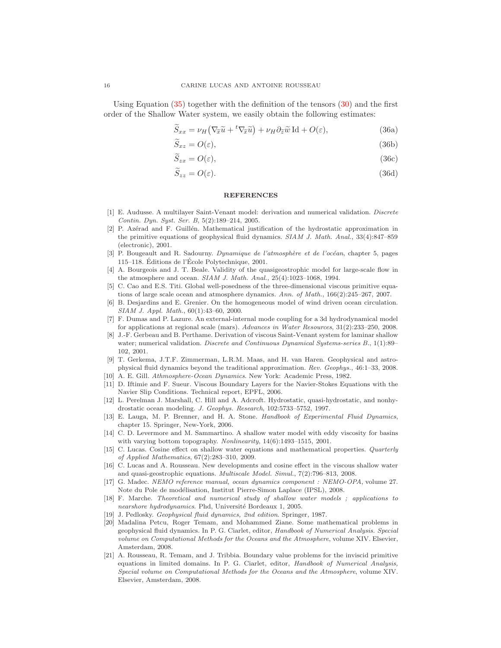Using Equation  $(35)$  together with the definition of the tensors  $(30)$  and the first order of the Shallow Water system, we easily obtain the following estimates:

$$
\widetilde{S}_{xx} = \nu_H \left( \nabla_{\widetilde{x}} \widetilde{u} + {}^t \nabla_{\widetilde{x}} \widetilde{u} \right) + \nu_H \partial_{\widetilde{z}} \widetilde{w} \operatorname{Id} + O(\varepsilon),\tag{36a}
$$

$$
S_{xz} = O(\varepsilon),\tag{36b}
$$

$$
S_{zx} = O(\varepsilon),\tag{36c}
$$

$$
\widetilde{S}_{zz} = O(\varepsilon). \tag{36d}
$$

### <span id="page-16-14"></span>**REFERENCES**

- <span id="page-16-0"></span>[1] E. Audusse. A multilayer Saint-Venant model: derivation and numerical validation. *Discrete Contin. Dyn. Syst. Ser. B*, 5(2):189–214, 2005.
- <span id="page-16-3"></span>[2] P. Azérad and F. Guillén. Mathematical justification of the hydrostatic approximation in the primitive equations of geophysical fluid dynamics. *SIAM J. Math. Anal.*, 33(4):847–859 (electronic), 2001.
- <span id="page-16-10"></span>[3] P. Bougeault and R. Sadourny. *Dynamique de l'atmosphère et de l'océan*, chapter 5, pages 115–118. Éditions de l'École Polytechnique,  $2001$ .
- <span id="page-16-15"></span>[4] A. Bourgeois and J. T. Beale. Validity of the quasigeostrophic model for large-scale flow in the atmosphere and ocean. *SIAM J. Math. Anal.*, 25(4):1023–1068, 1994.
- <span id="page-16-20"></span>[5] C. Cao and E.S. Titi. Global well-posedness of the three-dimensional viscous primitive equations of large scale ocean and atmosphere dynamics. *Ann. of Math.*, 166(2):245–267, 2007.
- <span id="page-16-16"></span>[6] B. Desjardins and E. Grenier. On the homogeneous model of wind driven ocean circulation. *SIAM J. Appl. Math.*, 60(1):43–60, 2000.
- <span id="page-16-4"></span>[7] F. Dumas and P. Lazure. An external-internal mode coupling for a 3d hydrodynamical model for applications at regional scale (mars). *Advances in Water Resources*, 31(2):233–250, 2008.
- <span id="page-16-1"></span>[8] J.-F. Gerbeau and B. Perthame. Derivation of viscous Saint-Venant system for laminar shallow water; numerical validation. *Discrete and Continuous Dynamical Systems-series B.*, 1(1):89– 102, 2001.
- <span id="page-16-9"></span>[9] T. Gerkema, J.T.F. Zimmerman, L.R.M. Maas, and H. van Haren. Geophysical and astrophysical fluid dynamics beyond the traditional approximation. *Rev. Geophys.*, 46:1–33, 2008.
- <span id="page-16-19"></span><span id="page-16-12"></span>[10] A. E. Gill. *Athmosphere-Ocean Dynamics*. New York: Academic Press, 1982.
- [11] D. Iftimie and F. Sueur. Viscous Boundary Layers for the Navier-Stokes Equations with the Navier Slip Conditions. Technical report, EPFL, 2006.
- <span id="page-16-8"></span>[12] L. Perelman J. Marshall, C. Hill and A. Adcroft. Hydrostatic, quasi-hydrostatic, and nonhydrostatic ocean modeling. *J. Geophys. Research*, 102:5733–5752, 1997.
- <span id="page-16-13"></span>[13] E. Lauga, M. P. Brenner, and H. A. Stone. *Handbook of Experimental Fluid Dynamics*, chapter 15. Springer, New-York, 2006.
- <span id="page-16-7"></span>[14] C. D. Levermore and M. Sammartino. A shallow water model with eddy viscosity for basins with varying bottom topography. *Nonlinearity*, 14(6):1493–1515, 2001.
- <span id="page-16-11"></span>[15] C. Lucas. Cosine effect on shallow water equations and mathematical properties. *Quarterly of Applied Mathematics*, 67(2):283–310, 2009.
- <span id="page-16-18"></span>[16] C. Lucas and A. Rousseau. New developments and cosine effect in the viscous shallow water and quasi-geostrophic equations. *Multiscale Model. Simul.*, 7(2):796–813, 2008.
- <span id="page-16-5"></span>[17] G. Madec. *NEMO reference manual, ocean dynamics component : NEMO-OPA*, volume 27. Note du Pole de modélisation, Institut Pierre-Simon Laplace (IPSL), 2008.
- <span id="page-16-2"></span>[18] F. Marche. *Theoretical and numerical study of shallow water models ; applications to nearshore hydrodynamics*. Phd, Universit´e Bordeaux 1, 2005.
- <span id="page-16-21"></span><span id="page-16-17"></span>[19] J. Pedlosky. *Geophysical fluid dynamics, 2nd edition*. Springer, 1987.
- [20] Madalina Petcu, Roger Temam, and Mohammed Ziane. Some mathematical problems in geophysical fluid dynamics. In P. G. Ciarlet, editor, *Handbook of Numerical Analysis. Special volume on Computational Methods for the Oceans and the Atmosphere*, volume XIV. Elsevier, Amsterdam, 2008.
- <span id="page-16-6"></span>[21] A. Rousseau, R. Temam, and J. Tribbia. Boundary value problems for the inviscid primitive equations in limited domains. In P. G. Ciarlet, editor, *Handbook of Numerical Analysis, Special volume on Computational Methods for the Oceans and the Atmosphere*, volume XIV. Elsevier, Amsterdam, 2008.